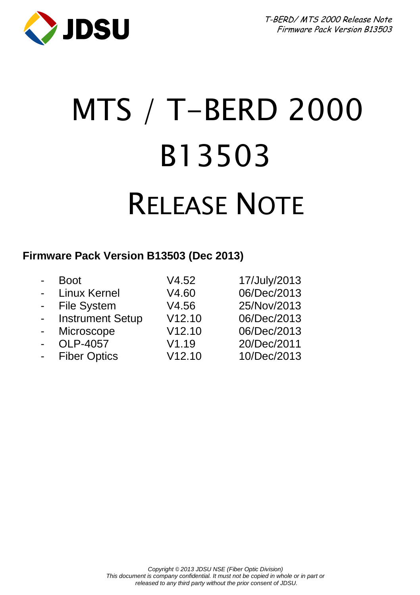

# MTS / T-BERD 2000 B13503 RELEASE NOTE

#### **Firmware Pack Version B13503 (Dec 2013)**

| $\blacksquare$ | <b>Boot</b>             | V4.52  | 17/July/2013 |
|----------------|-------------------------|--------|--------------|
| $\blacksquare$ | Linux Kernel            | V4.60  | 06/Dec/2013  |
| $\sim$         | <b>File System</b>      | V4.56  | 25/Nov/2013  |
| $\sim$         | <b>Instrument Setup</b> | V12.10 | 06/Dec/2013  |
| $\blacksquare$ | Microscope              | V12.10 | 06/Dec/2013  |
| $\blacksquare$ | OLP-4057                | V1.19  | 20/Dec/2011  |
|                | <b>Fiber Optics</b>     | V12.10 | 10/Dec/2013  |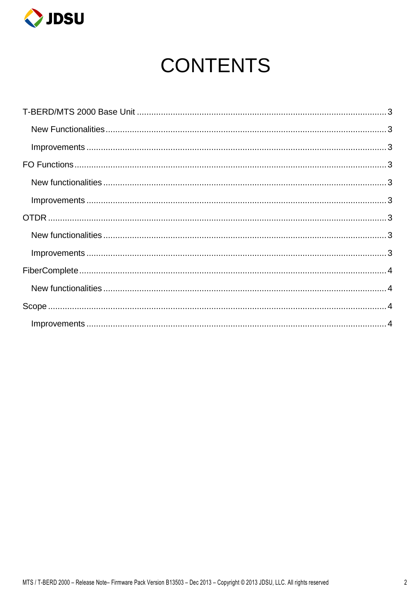

# **CONTENTS**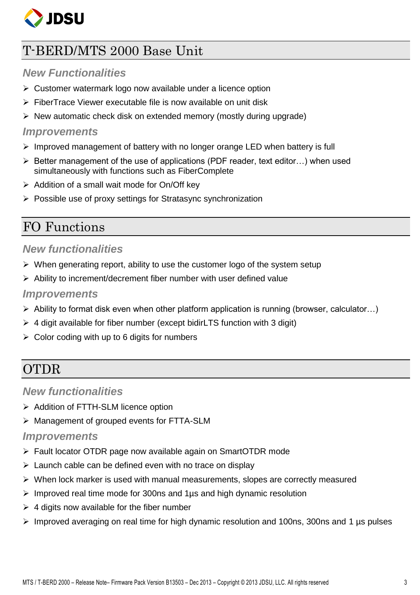

# <span id="page-2-0"></span>T-BERD/MTS 2000 Base Unit

#### <span id="page-2-1"></span>*New Functionalities*

- $\triangleright$  Customer watermark logo now available under a licence option
- $\triangleright$  FiberTrace Viewer executable file is now available on unit disk
- $\triangleright$  New automatic check disk on extended memory (mostly during upgrade)

#### <span id="page-2-2"></span>*Improvements*

- $\triangleright$  Improved management of battery with no longer orange LED when battery is full
- $\triangleright$  Better management of the use of applications (PDF reader, text editor...) when used simultaneously with functions such as FiberComplete
- $\triangleright$  Addition of a small wait mode for On/Off key
- $\triangleright$  Possible use of proxy settings for Stratasync synchronization

### <span id="page-2-3"></span>FO Functions

#### <span id="page-2-4"></span>*New functionalities*

- $\triangleright$  When generating report, ability to use the customer logo of the system setup
- $\triangleright$  Ability to increment/decrement fiber number with user defined value

#### <span id="page-2-5"></span>*Improvements*

- $\triangleright$  Ability to format disk even when other platform application is running (browser, calculator...)
- $\triangleright$  4 digit available for fiber number (except bidirLTS function with 3 digit)
- $\triangleright$  Color coding with up to 6 digits for numbers

# <span id="page-2-6"></span>OTDR

#### <span id="page-2-7"></span>*New functionalities*

- > Addition of FTTH-SLM licence option
- Management of grouped events for FTTA-SLM

#### <span id="page-2-8"></span>*Improvements*

- Fault locator OTDR page now available again on SmartOTDR mode
- $\triangleright$  Launch cable can be defined even with no trace on display
- $\triangleright$  When lock marker is used with manual measurements, slopes are correctly measured
- $\triangleright$  Improved real time mode for 300ns and 1 us and high dynamic resolution
- $\triangleright$  4 digits now available for the fiber number
- $\triangleright$  Improved averaging on real time for high dynamic resolution and 100ns, 300ns and 1 µs pulses